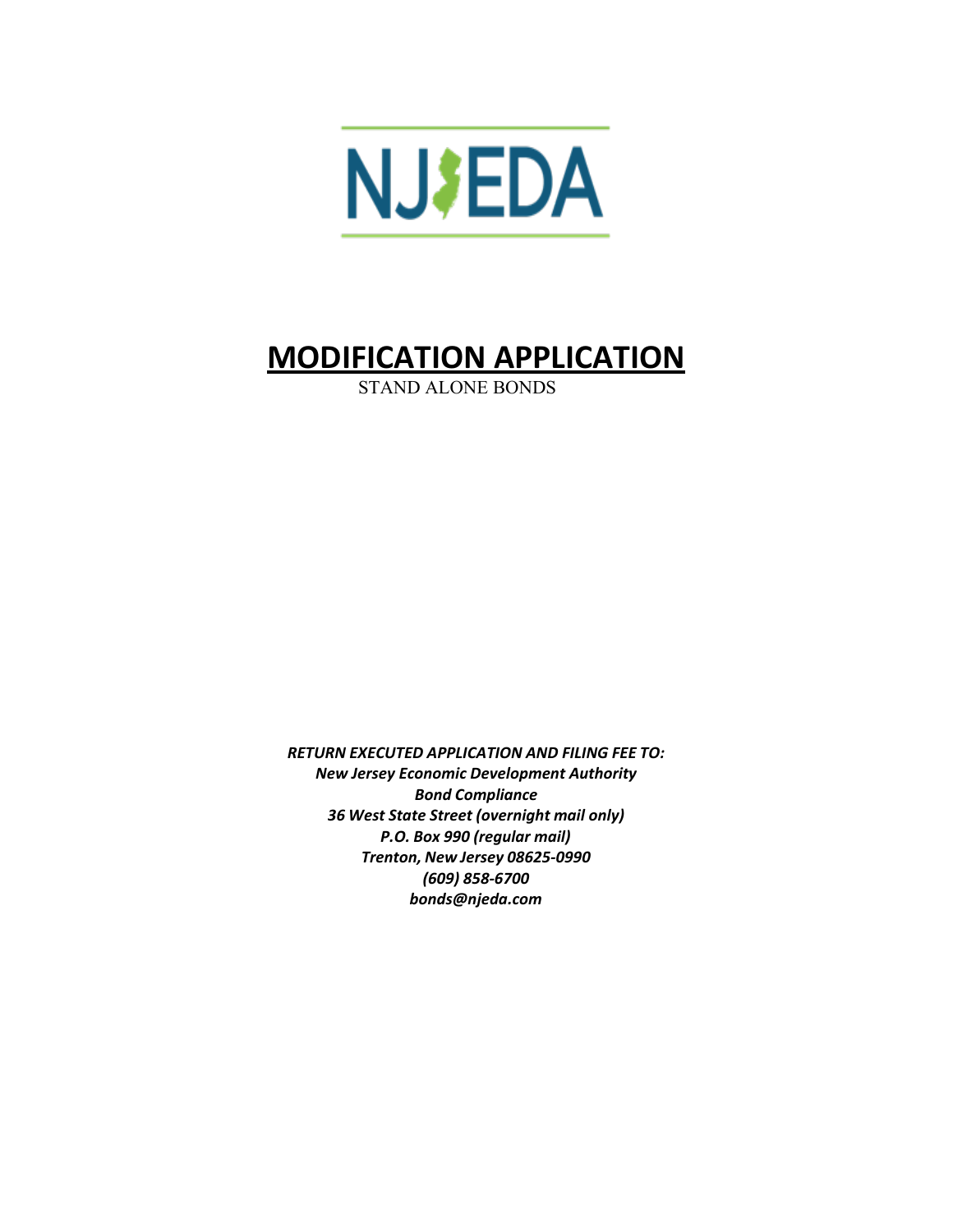

# **MODIFICATION APPLICATION**

STAND ALONE BONDS

*RETURN EXECUTED APPLICATION AND FILING FEE TO: New Jersey Economic Development Authority Bond Compliance 36 West State Street (overnight mail only) P.O. Box 990 (regular mail) Trenton, New Jersey 08625-0990 (609) 858-6700 [bonds@njeda.com](mailto:bonds@njeda.com)*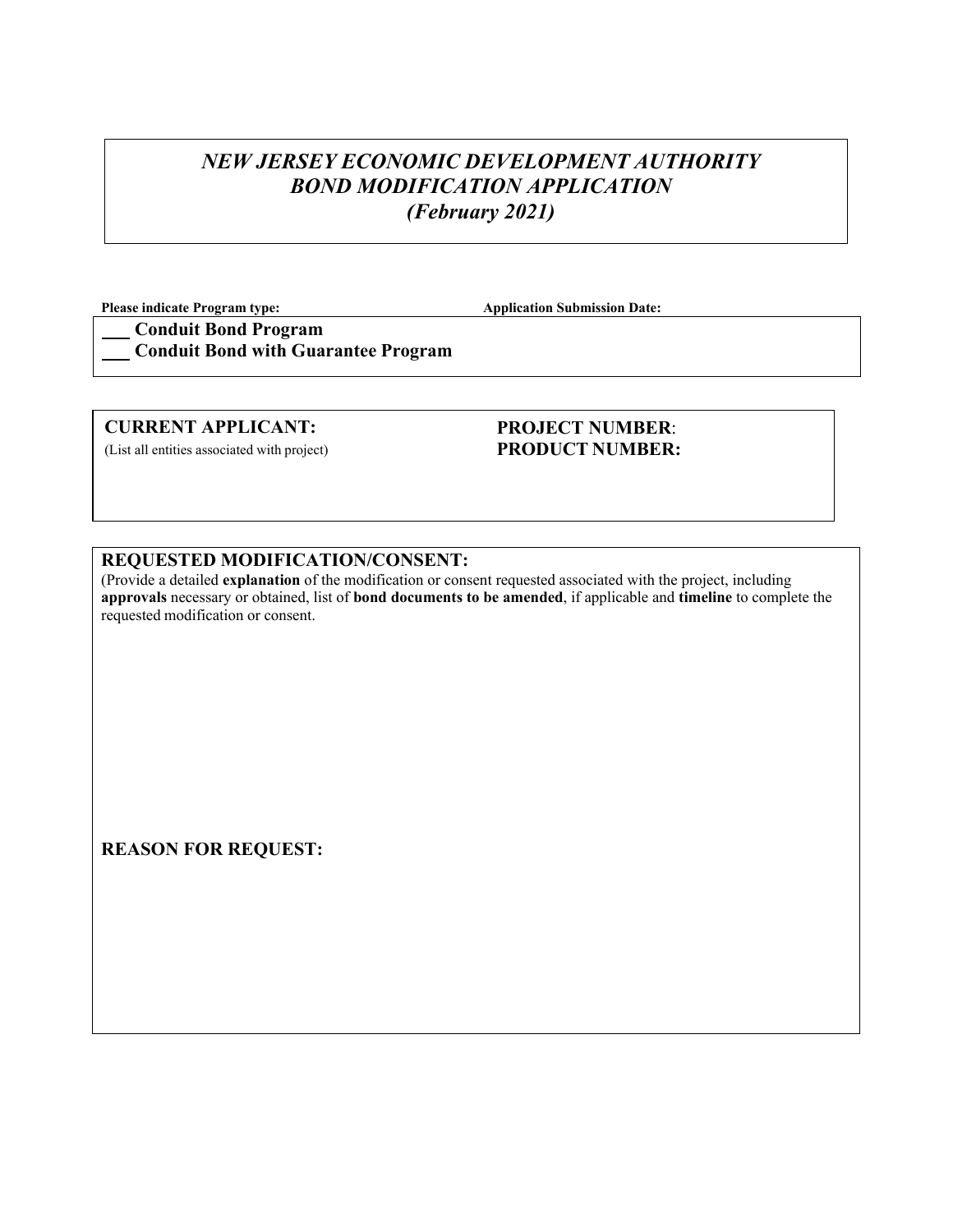# *NEW JERSEY ECONOMIC DEVELOPMENT AUTHORITY BOND MODIFICATION APPLICATION (February 2021)*

**Please indicate Program type:**  $\qquad \qquad \qquad$  Application Submission Date:

**Conduit Bond Program Conduit Bond with Guarantee Program** 

#### **CURRENT APPLICANT:**

(List all entities associated with project)

### **PROJECT NUMBER**: **PRODUCT NUMBER:**

#### **REQUESTED MODIFICATION/CONSENT:**

(Provide a detailed **explanation** of the modification or consent requested associated with the project, including **approvals** necessary or obtained, list of **bond documents to be amended**, if applicable and **timeline** to complete the requested modification or consent.

**REASON FOR REQUEST:**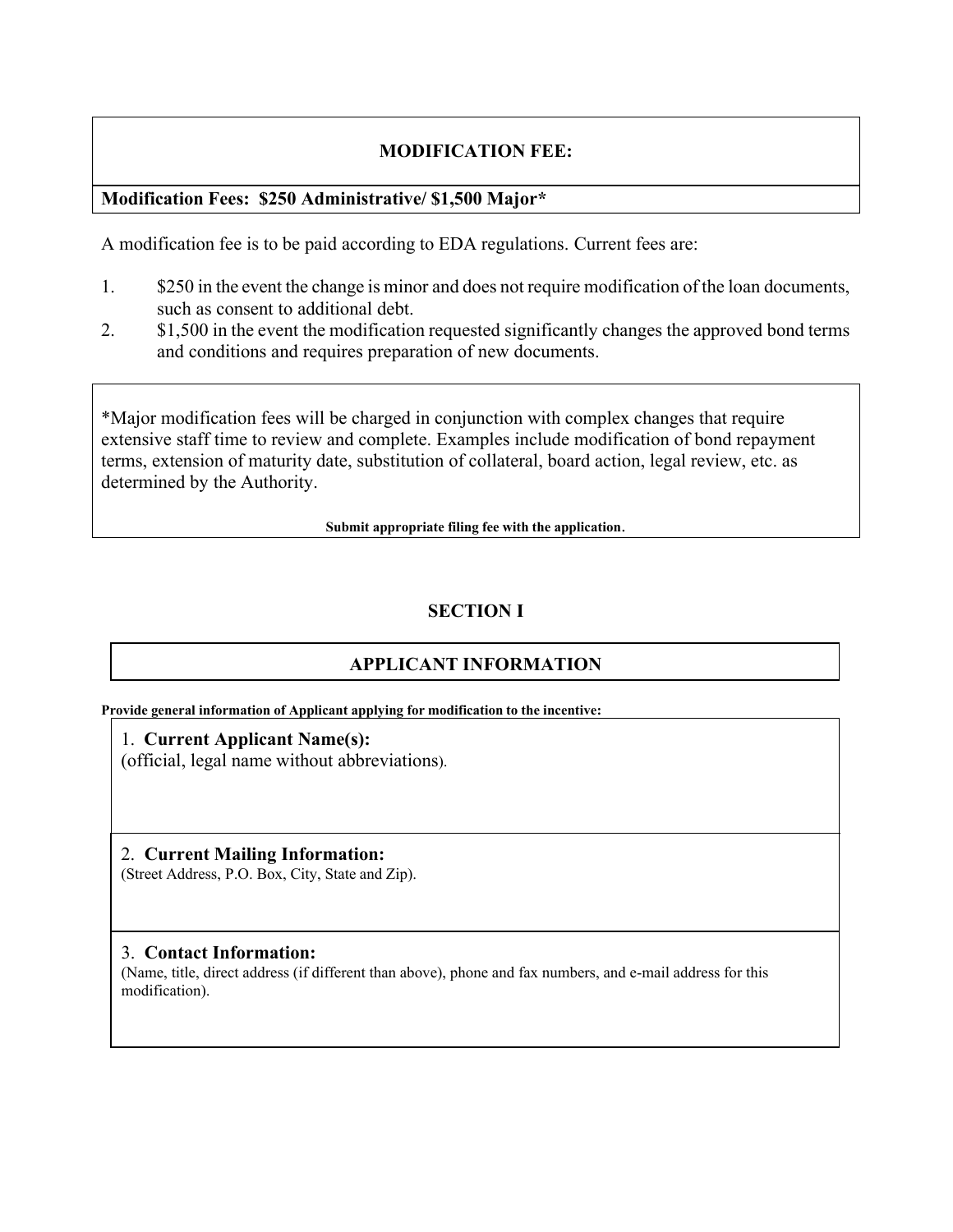## **MODIFICATION FEE:**

## **Modification Fees: \$250 Administrative/ \$1,500 Major\***

A modification fee is to be paid according to EDA regulations. Current fees are:

- 1. \$250 in the event the change is minor and does not require modification of the loan documents, such as consent to additional debt.
- 2. \$1,500 in the event the modification requested significantly changes the approved bond terms and conditions and requires preparation of new documents.

\*Major modification fees will be charged in conjunction with complex changes that require extensive staff time to review and complete. Examples include modification of bond repayment terms, extension of maturity date, substitution of collateral, board action, legal review, etc. as determined by the Authority.

**Submit appropriate filing fee with the application**.

# **SECTION I**

# **APPLICANT INFORMATION**

**Provide general information of Applicant applying for modification to the incentive:**

1. **Current Applicant Name(s):** (official, legal name without abbreviations).

2. **Current Mailing Information:** (Street Address, P.O. Box, City, State and Zip).

#### 3. **Contact Information:**

(Name, title, direct address (if different than above), phone and fax numbers, and e-mail address for this modification).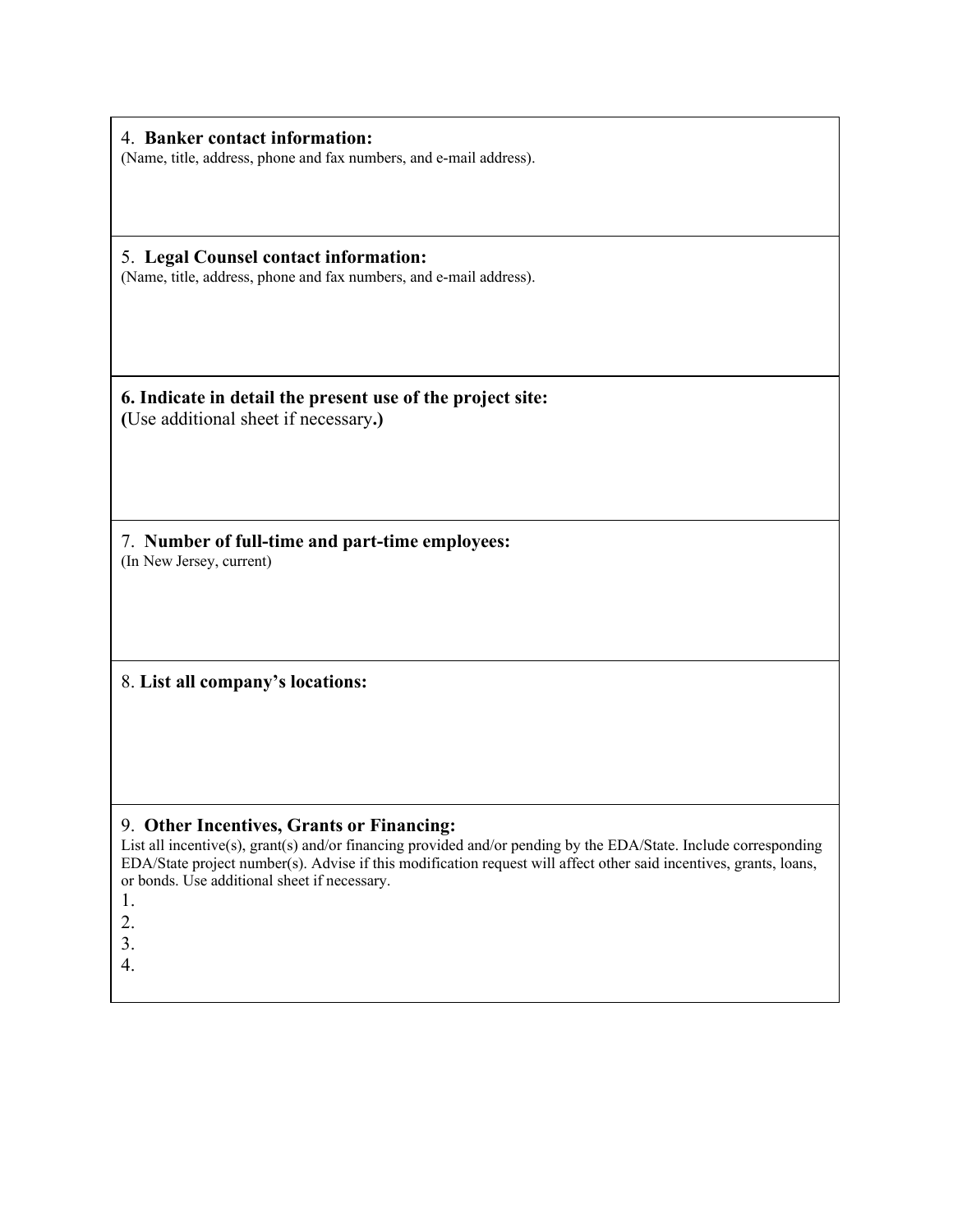4. **Banker contact information:** (Name, title, address, phone and fax numbers, and e-mail address).

5. **Legal Counsel contact information:** (Name, title, address, phone and fax numbers, and e-mail address).

**6. Indicate in detail the present use of the project site: (**Use additional sheet if necessary**.)**

7. **Number of full-time and part-time employees:** (In New Jersey, current)

8. **List all company's locations:**

#### 9. **Other Incentives, Grants or Financing:**

List all incentive(s), grant(s) and/or financing provided and/or pending by the EDA/State. Include corresponding EDA/State project number(s). Advise if this modification request will affect other said incentives, grants, loans, or bonds. Use additional sheet if necessary.

1.

2.

3.

4.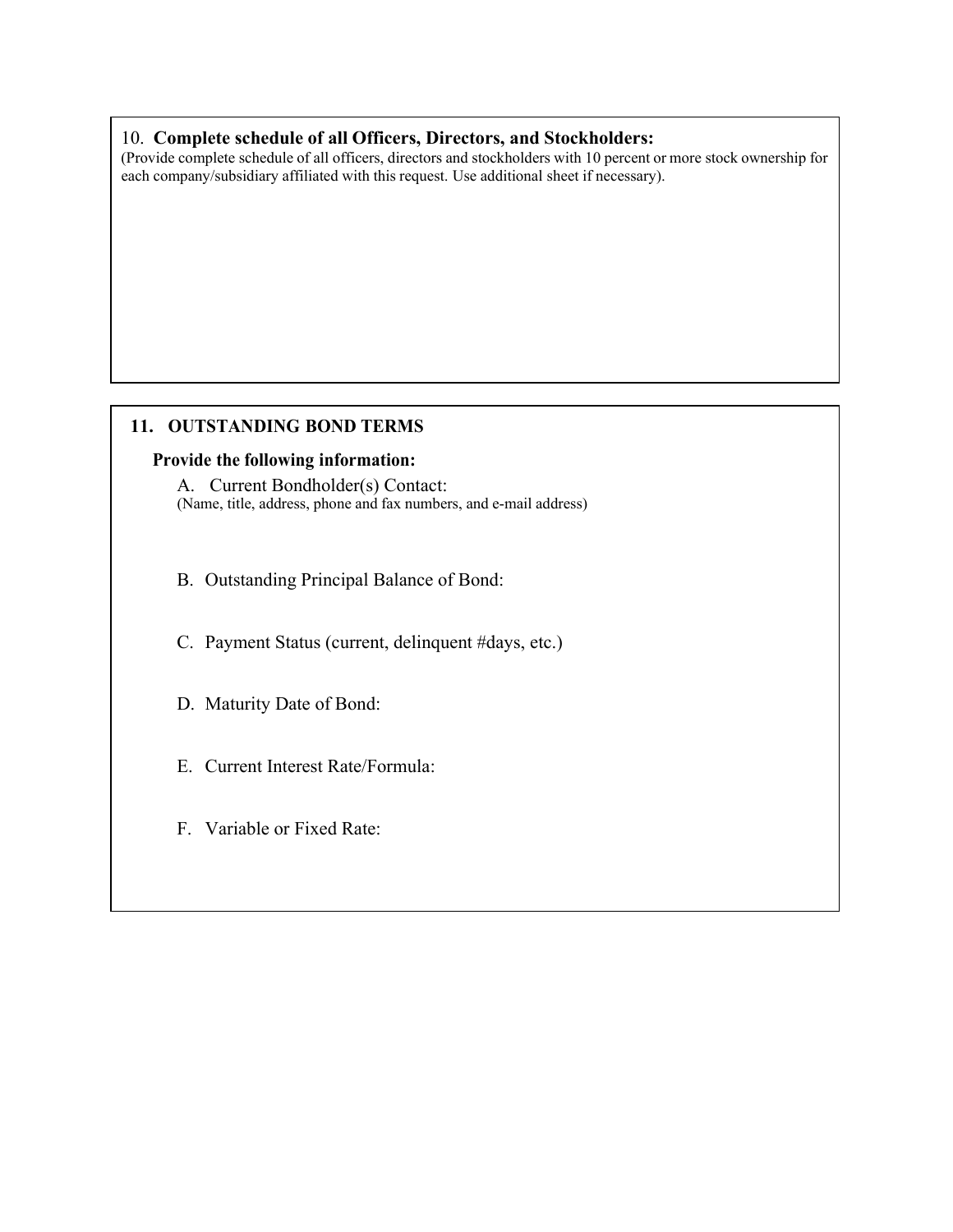## 10. **Complete schedule of all Officers, Directors, and Stockholders:**

(Provide complete schedule of all officers, directors and stockholders with 10 percent or more stock ownership for each company/subsidiary affiliated with this request. Use additional sheet if necessary).

## **11. OUTSTANDING BOND TERMS**

#### **Provide the following information:**

A. Current Bondholder(s) Contact: (Name, title, address, phone and fax numbers, and e-mail address)

B. Outstanding Principal Balance of Bond:

C. Payment Status (current, delinquent #days, etc.)

D. Maturity Date of Bond:

E. Current Interest Rate/Formula:

F. Variable or Fixed Rate: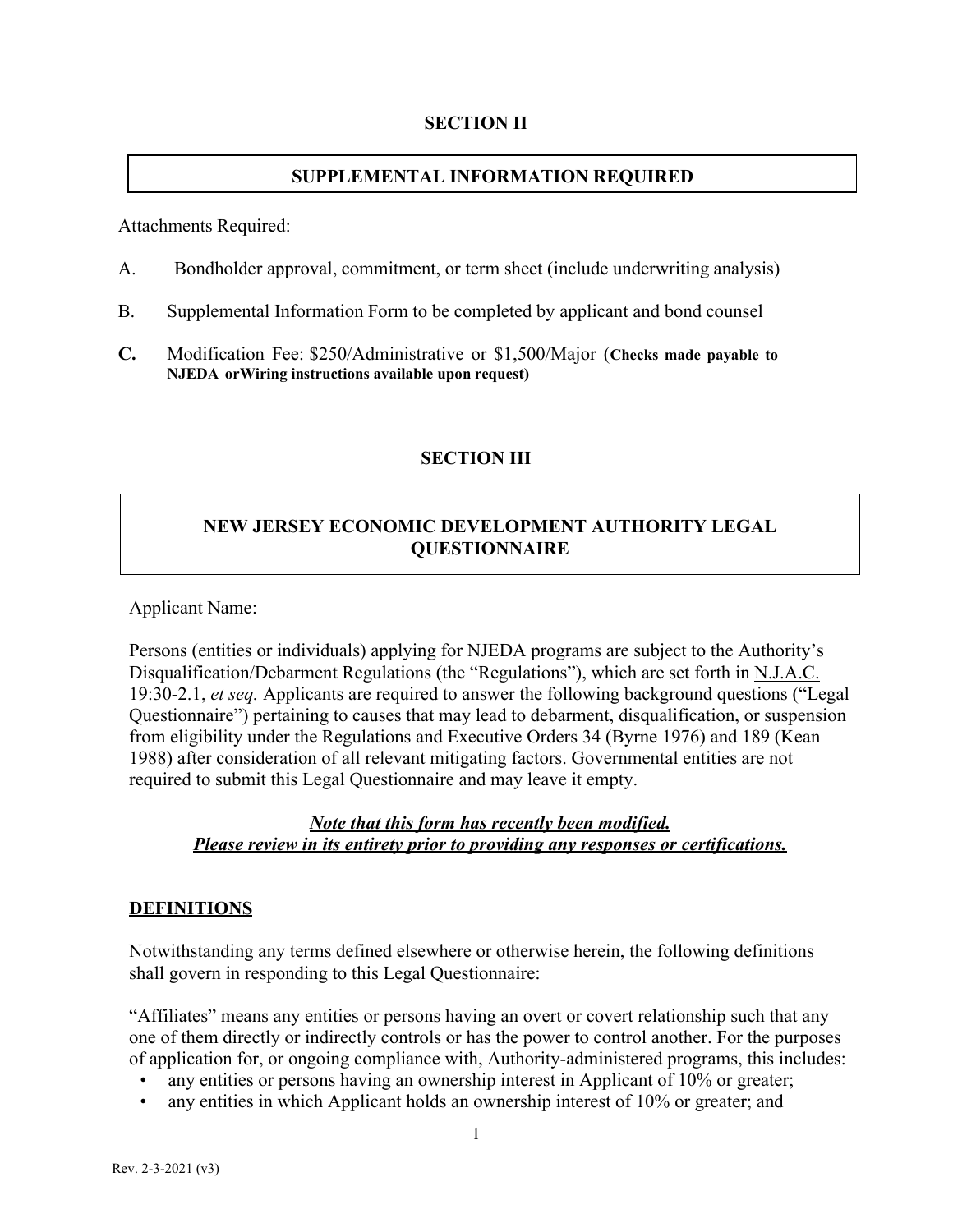## **SECTION II**

## **SUPPLEMENTAL INFORMATION REQUIRED**

Attachments Required:

- A. Bondholder approval, commitment, or term sheet (include underwriting analysis)
- B. Supplemental Information Form to be completed by applicant and bond counsel
- **C.** Modification Fee: \$250/Administrative or \$1,500/Major (**Checks made payable to NJEDA orWiring instructions available upon request)**

## **SECTION III**

## **NEW JERSEY ECONOMIC DEVELOPMENT AUTHORITY LEGAL QUESTIONNAIRE**

Applicant Name:

Persons (entities or individuals) applying for NJEDA programs are subject to the Authority's Disqualification/Debarment Regulations (the "Regulations"), which are set forth in N.J.A.C. 19:30-2.1, *et seq.* Applicants are required to answer the following background questions ("Legal Questionnaire") pertaining to causes that may lead to debarment, disqualification, or suspension from eligibility under the Regulations and Executive Orders 34 (Byrne 1976) and 189 (Kean 1988) after consideration of all relevant mitigating factors. Governmental entities are not required to submit this Legal Questionnaire and may leave it empty.

## *Note that this form has recently been modified. Please review in its entirety prior to providing any responses or certifications.*

#### **DEFINITIONS**

Notwithstanding any terms defined elsewhere or otherwise herein, the following definitions shall govern in responding to this Legal Questionnaire:

"Affiliates" means any entities or persons having an overt or covert relationship such that any one of them directly or indirectly controls or has the power to control another. For the purposes of application for, or ongoing compliance with, Authority-administered programs, this includes:

- any entities or persons having an ownership interest in Applicant of 10% or greater;
- any entities in which Applicant holds an ownership interest of 10% or greater; and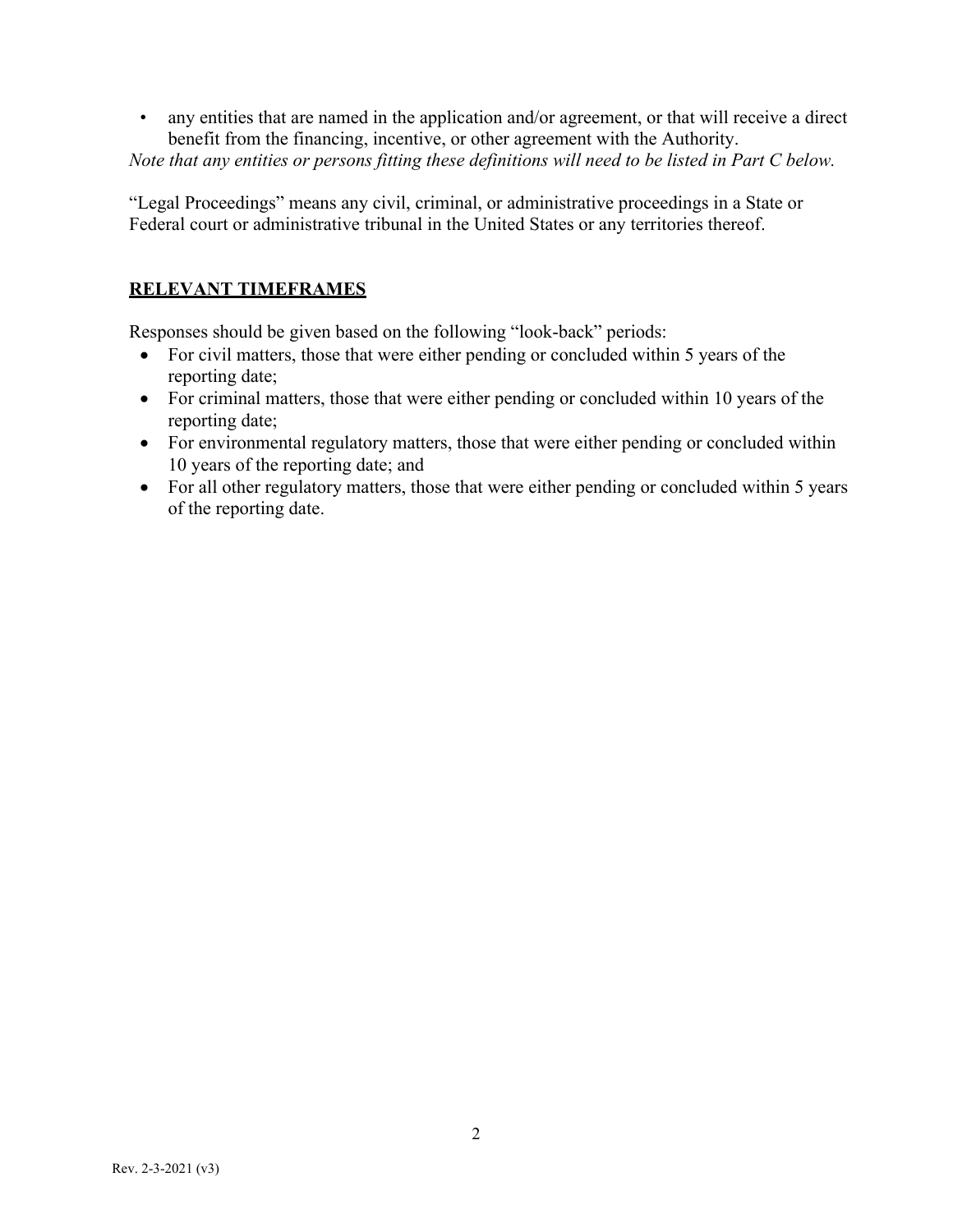• any entities that are named in the application and/or agreement, or that will receive a direct benefit from the financing, incentive, or other agreement with the Authority.

*Note that any entities or persons fitting these definitions will need to be listed in Part C below.*

"Legal Proceedings" means any civil, criminal, or administrative proceedings in a State or Federal court or administrative tribunal in the United States or any territories thereof.

# **RELEVANT TIMEFRAMES**

Responses should be given based on the following "look-back" periods:

- For civil matters, those that were either pending or concluded within 5 years of the reporting date;
- For criminal matters, those that were either pending or concluded within 10 years of the reporting date;
- For environmental regulatory matters, those that were either pending or concluded within 10 years of the reporting date; and
- For all other regulatory matters, those that were either pending or concluded within 5 years of the reporting date.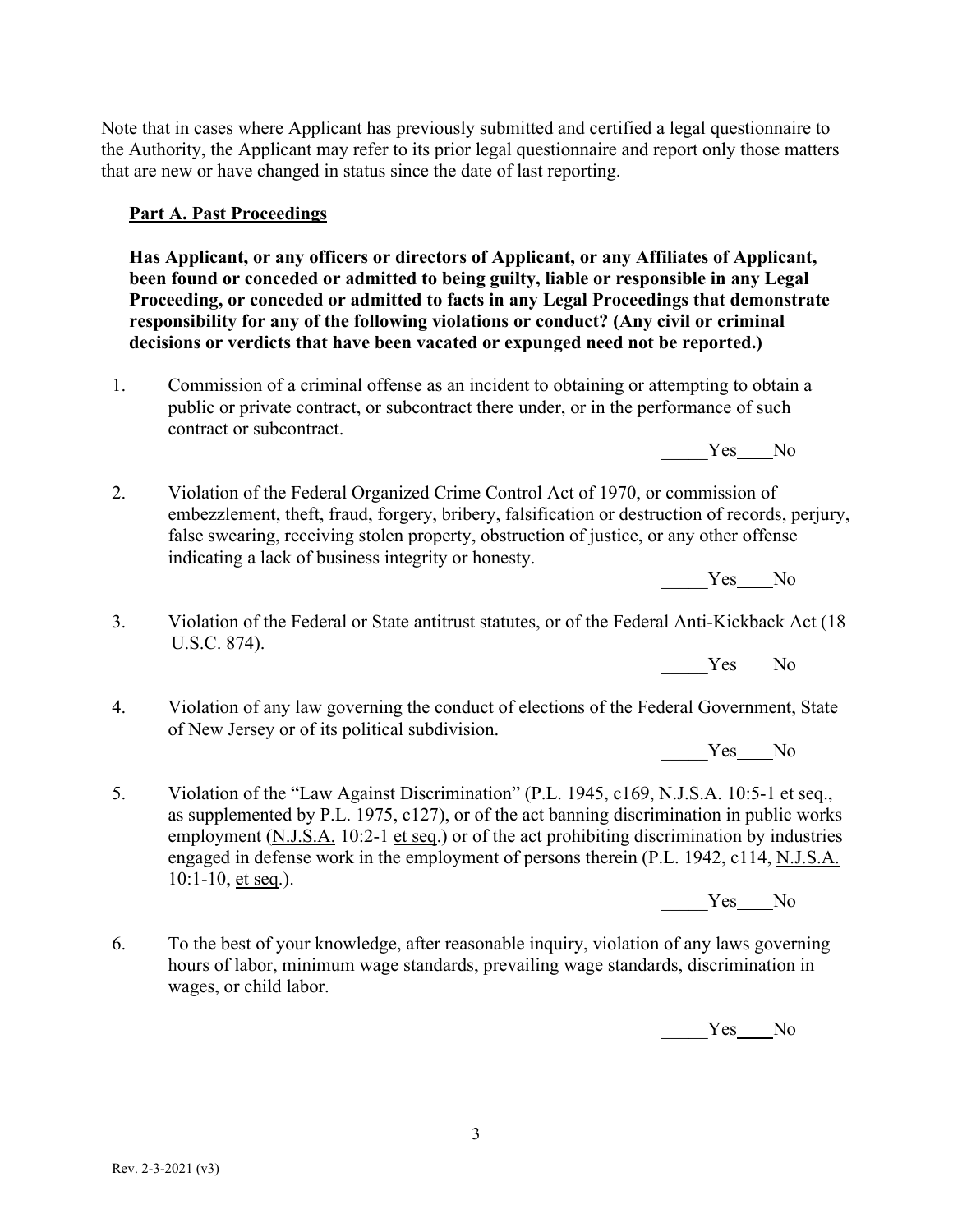Note that in cases where Applicant has previously submitted and certified a legal questionnaire to the Authority, the Applicant may refer to its prior legal questionnaire and report only those matters that are new or have changed in status since the date of last reporting.

## **Part A. Past Proceedings**

**Has Applicant, or any officers or directors of Applicant, or any Affiliates of Applicant, been found or conceded or admitted to being guilty, liable or responsible in any Legal Proceeding, or conceded or admitted to facts in any Legal Proceedings that demonstrate responsibility for any of the following violations or conduct? (Any civil or criminal decisions or verdicts that have been vacated or expunged need not be reported.)**

1. Commission of a criminal offense as an incident to obtaining or attempting to obtain a public or private contract, or subcontract there under, or in the performance of such contract or subcontract.

Yes No

2. Violation of the Federal Organized Crime Control Act of 1970, or commission of embezzlement, theft, fraud, forgery, bribery, falsification or destruction of records, perjury, false swearing, receiving stolen property, obstruction of justice, or any other offense indicating a lack of business integrity or honesty.

Yes No

3. Violation of the Federal or State antitrust statutes, or of the Federal Anti-Kickback Act (18 U.S.C. 874).

Yes No

4. Violation of any law governing the conduct of elections of the Federal Government, State of New Jersey or of its political subdivision.

Yes No

5. Violation of the "Law Against Discrimination" (P.L. 1945, c169, N.J.S.A. 10:5-1 et seq., as supplemented by P.L. 1975, c127), or of the act banning discrimination in public works employment (N.J.S.A. 10:2-1 et seq.) or of the act prohibiting discrimination by industries engaged in defense work in the employment of persons therein (P.L. 1942, c114, N.J.S.A. 10:1-10, et seq.).

Yes No

6. To the best of your knowledge, after reasonable inquiry, violation of any laws governing hours of labor, minimum wage standards, prevailing wage standards, discrimination in wages, or child labor.

Yes No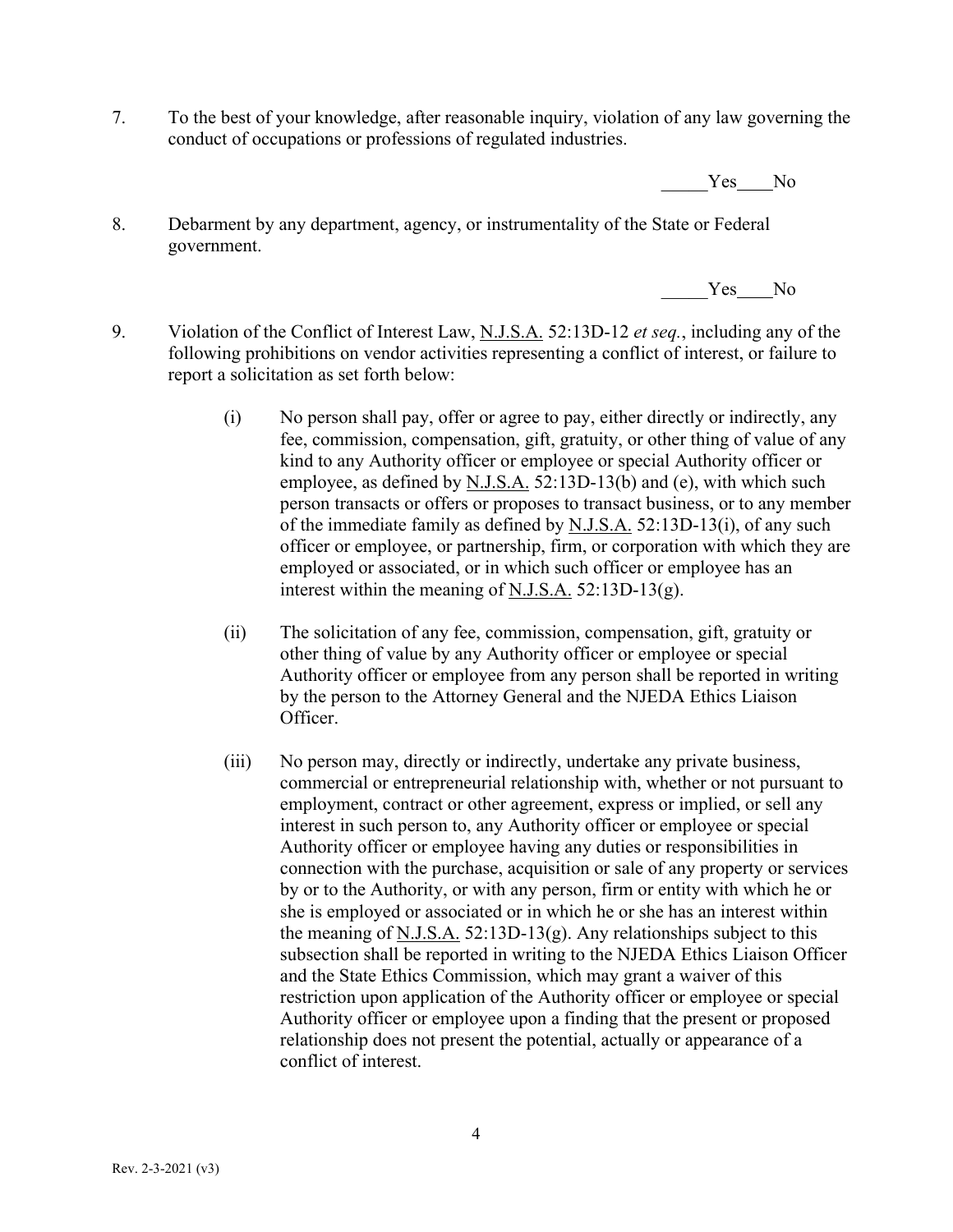7. To the best of your knowledge, after reasonable inquiry, violation of any law governing the conduct of occupations or professions of regulated industries.

Yes No

8. Debarment by any department, agency, or instrumentality of the State or Federal government.

Yes No

- 9. Violation of the Conflict of Interest Law, N.J.S.A. 52:13D-12 *et seq.*, including any of the following prohibitions on vendor activities representing a conflict of interest, or failure to report a solicitation as set forth below:
	- (i) No person shall pay, offer or agree to pay, either directly or indirectly, any fee, commission, compensation, gift, gratuity, or other thing of value of any kind to any Authority officer or employee or special Authority officer or employee, as defined by N.J.S.A. 52:13D-13(b) and (e), with which such person transacts or offers or proposes to transact business, or to any member of the immediate family as defined by N.J.S.A. 52:13D-13(i), of any such officer or employee, or partnership, firm, or corporation with which they are employed or associated, or in which such officer or employee has an interest within the meaning of N.J.S.A. 52:13D-13(g).
	- (ii) The solicitation of any fee, commission, compensation, gift, gratuity or other thing of value by any Authority officer or employee or special Authority officer or employee from any person shall be reported in writing by the person to the Attorney General and the NJEDA Ethics Liaison Officer.
	- (iii) No person may, directly or indirectly, undertake any private business, commercial or entrepreneurial relationship with, whether or not pursuant to employment, contract or other agreement, express or implied, or sell any interest in such person to, any Authority officer or employee or special Authority officer or employee having any duties or responsibilities in connection with the purchase, acquisition or sale of any property or services by or to the Authority, or with any person, firm or entity with which he or she is employed or associated or in which he or she has an interest within the meaning of N.J.S.A.  $52:13D-13(g)$ . Any relationships subject to this subsection shall be reported in writing to the NJEDA Ethics Liaison Officer and the State Ethics Commission, which may grant a waiver of this restriction upon application of the Authority officer or employee or special Authority officer or employee upon a finding that the present or proposed relationship does not present the potential, actually or appearance of a conflict of interest.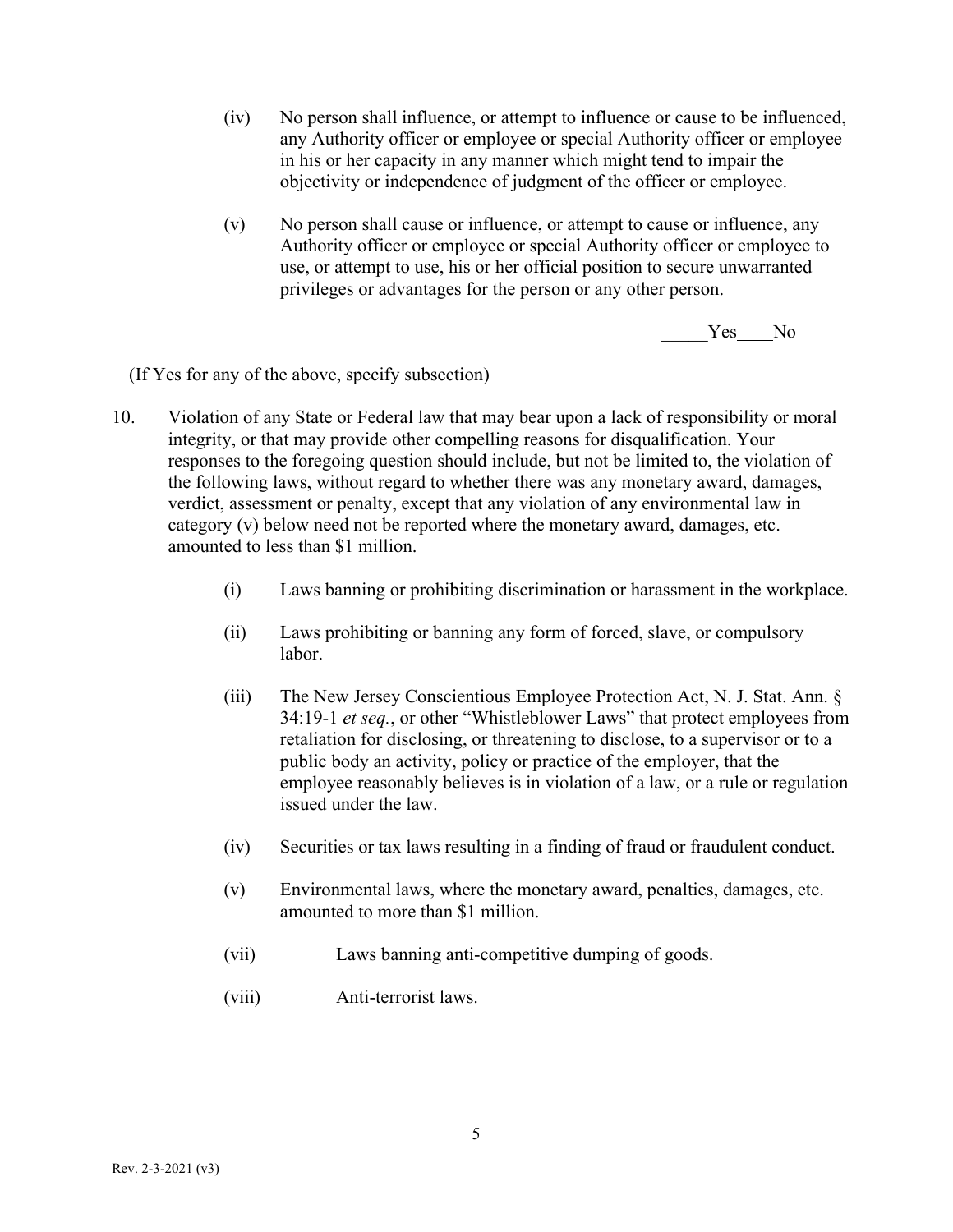- (iv) No person shall influence, or attempt to influence or cause to be influenced, any Authority officer or employee or special Authority officer or employee in his or her capacity in any manner which might tend to impair the objectivity or independence of judgment of the officer or employee.
- (v) No person shall cause or influence, or attempt to cause or influence, any Authority officer or employee or special Authority officer or employee to use, or attempt to use, his or her official position to secure unwarranted privileges or advantages for the person or any other person.

Yes No

(If Yes for any of the above, specify subsection)

- 10. Violation of any State or Federal law that may bear upon a lack of responsibility or moral integrity, or that may provide other compelling reasons for disqualification. Your responses to the foregoing question should include, but not be limited to, the violation of the following laws, without regard to whether there was any monetary award, damages, verdict, assessment or penalty, except that any violation of any environmental law in category (v) below need not be reported where the monetary award, damages, etc. amounted to less than \$1 million.
	- (i) Laws banning or prohibiting discrimination or harassment in the workplace.
	- (ii) Laws prohibiting or banning any form of forced, slave, or compulsory labor.
	- (iii) The New Jersey Conscientious Employee Protection Act, N. J. Stat. Ann. § 34:19-1 *et seq.*, or other "Whistleblower Laws" that protect employees from retaliation for disclosing, or threatening to disclose, to a supervisor or to a public body an activity, policy or practice of the employer, that the employee reasonably believes is in violation of a law, or a rule or regulation issued under the law.
	- (iv) Securities or tax laws resulting in a finding of fraud or fraudulent conduct.
	- (v) Environmental laws, where the monetary award, penalties, damages, etc. amounted to more than \$1 million.
	- (vii) Laws banning anti-competitive dumping of goods.
	- (viii) Anti-terrorist laws.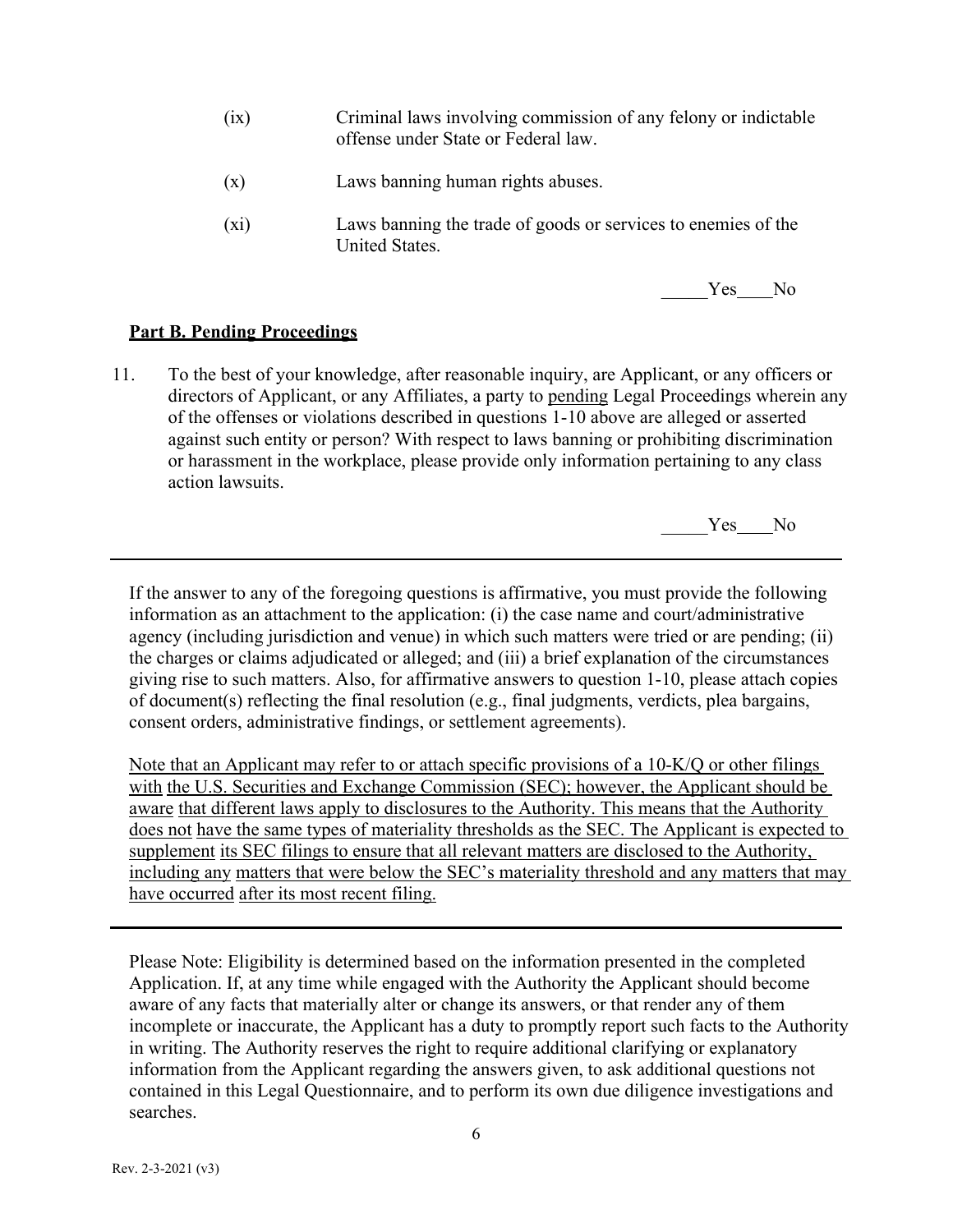- (ix) Criminal laws involving commission of any felony or indictable offense under State or Federal law.
- (x) Laws banning human rights abuses.
- (xi) Laws banning the trade of goods or services to enemies of the United States.



#### **Part B. Pending Proceedings**

11. To the best of your knowledge, after reasonable inquiry, are Applicant, or any officers or directors of Applicant, or any Affiliates, a party to pending Legal Proceedings wherein any of the offenses or violations described in questions 1-10 above are alleged or asserted against such entity or person? With respect to laws banning or prohibiting discrimination or harassment in the workplace, please provide only information pertaining to any class action lawsuits.

Yes No

If the answer to any of the foregoing questions is affirmative, you must provide the following information as an attachment to the application: (i) the case name and court/administrative agency (including jurisdiction and venue) in which such matters were tried or are pending; (ii) the charges or claims adjudicated or alleged; and (iii) a brief explanation of the circumstances giving rise to such matters. Also, for affirmative answers to question 1-10, please attach copies of document(s) reflecting the final resolution (e.g., final judgments, verdicts, plea bargains, consent orders, administrative findings, or settlement agreements).

Note that an Applicant may refer to or attach specific provisions of a 10-K/Q or other filings with the U.S. Securities and Exchange Commission (SEC); however, the Applicant should be aware that different laws apply to disclosures to the Authority. This means that the Authority does not have the same types of materiality thresholds as the SEC. The Applicant is expected to supplement its SEC filings to ensure that all relevant matters are disclosed to the Authority, including any matters that were below the SEC's materiality threshold and any matters that may have occurred after its most recent filing.

Please Note: Eligibility is determined based on the information presented in the completed Application. If, at any time while engaged with the Authority the Applicant should become aware of any facts that materially alter or change its answers, or that render any of them incomplete or inaccurate, the Applicant has a duty to promptly report such facts to the Authority in writing. The Authority reserves the right to require additional clarifying or explanatory information from the Applicant regarding the answers given, to ask additional questions not contained in this Legal Questionnaire, and to perform its own due diligence investigations and searches.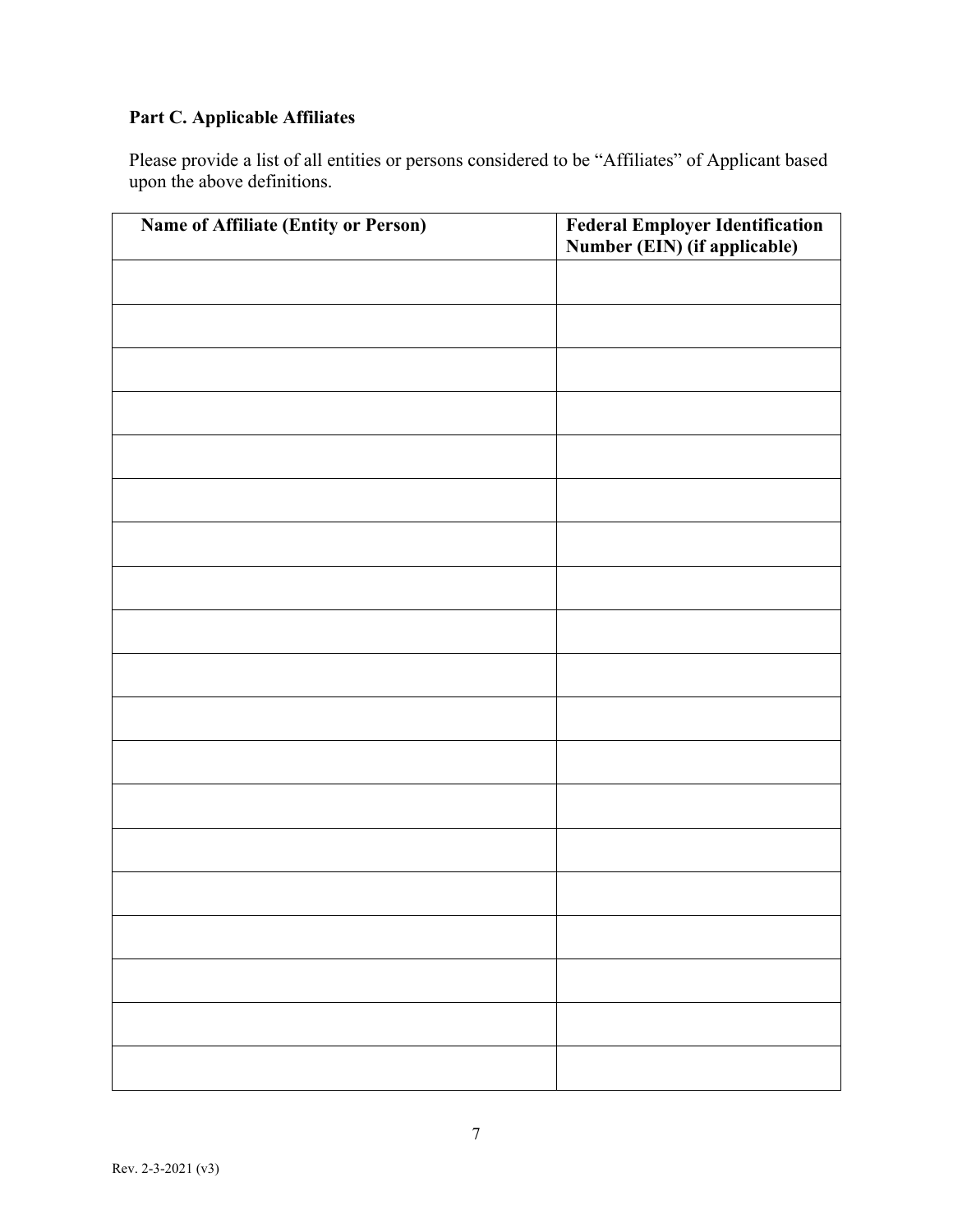# **Part C. Applicable Affiliates**

Please provide a list of all entities or persons considered to be "Affiliates" of Applicant based upon the above definitions.

| Name of Affiliate (Entity or Person) | <b>Federal Employer Identification<br/>Number (EIN) (if applicable)</b> |
|--------------------------------------|-------------------------------------------------------------------------|
|                                      |                                                                         |
|                                      |                                                                         |
|                                      |                                                                         |
|                                      |                                                                         |
|                                      |                                                                         |
|                                      |                                                                         |
|                                      |                                                                         |
|                                      |                                                                         |
|                                      |                                                                         |
|                                      |                                                                         |
|                                      |                                                                         |
|                                      |                                                                         |
|                                      |                                                                         |
|                                      |                                                                         |
|                                      |                                                                         |
|                                      |                                                                         |
|                                      |                                                                         |
|                                      |                                                                         |
|                                      |                                                                         |